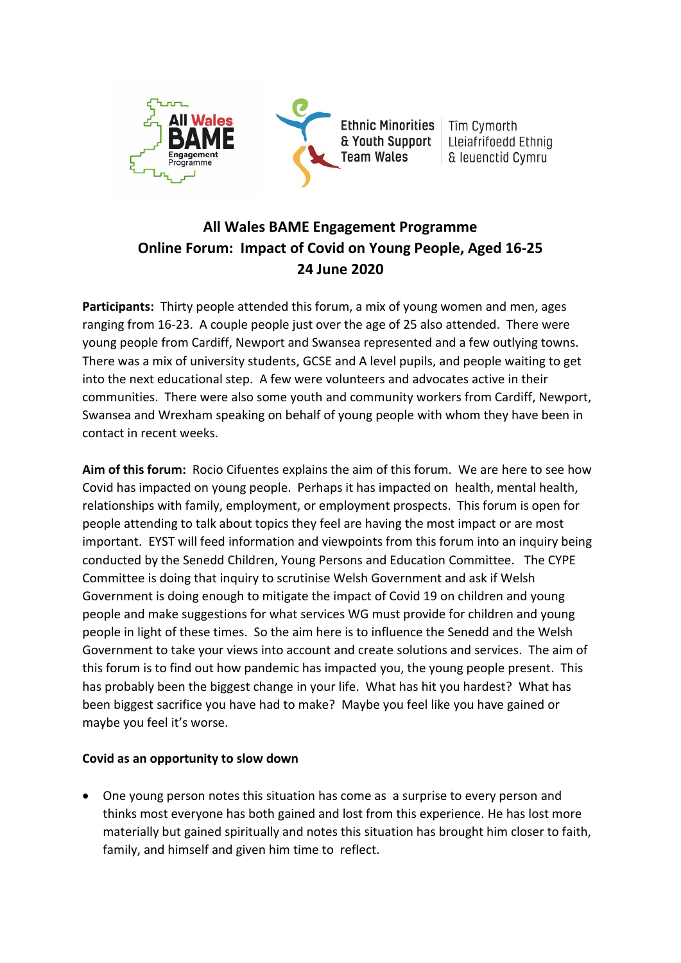

Tîm Cymorth Lleiafrifoedd Ethnig & leuenctid Cymru

# **All Wales BAME Engagement Programme Online Forum: Impact of Covid on Young People, Aged 16-25 24 June 2020**

**Participants:** Thirty people attended this forum, a mix of young women and men, ages ranging from 16-23. A couple people just over the age of 25 also attended. There were young people from Cardiff, Newport and Swansea represented and a few outlying towns. There was a mix of university students, GCSE and A level pupils, and people waiting to get into the next educational step. A few were volunteers and advocates active in their communities. There were also some youth and community workers from Cardiff, Newport, Swansea and Wrexham speaking on behalf of young people with whom they have been in contact in recent weeks.

**Aim of this forum:** Rocio Cifuentes explains the aim of this forum. We are here to see how Covid has impacted on young people. Perhaps it has impacted on health, mental health, relationships with family, employment, or employment prospects. This forum is open for people attending to talk about topics they feel are having the most impact or are most important. EYST will feed information and viewpoints from this forum into an inquiry being conducted by the Senedd Children, Young Persons and Education Committee. The CYPE Committee is doing that inquiry to scrutinise Welsh Government and ask if Welsh Government is doing enough to mitigate the impact of Covid 19 on children and young people and make suggestions for what services WG must provide for children and young people in light of these times. So the aim here is to influence the Senedd and the Welsh Government to take your views into account and create solutions and services. The aim of this forum is to find out how pandemic has impacted you, the young people present. This has probably been the biggest change in your life. What has hit you hardest? What has been biggest sacrifice you have had to make? Maybe you feel like you have gained or maybe you feel it's worse.

### **Covid as an opportunity to slow down**

• One young person notes this situation has come as a surprise to every person and thinks most everyone has both gained and lost from this experience. He has lost more materially but gained spiritually and notes this situation has brought him closer to faith, family, and himself and given him time to reflect.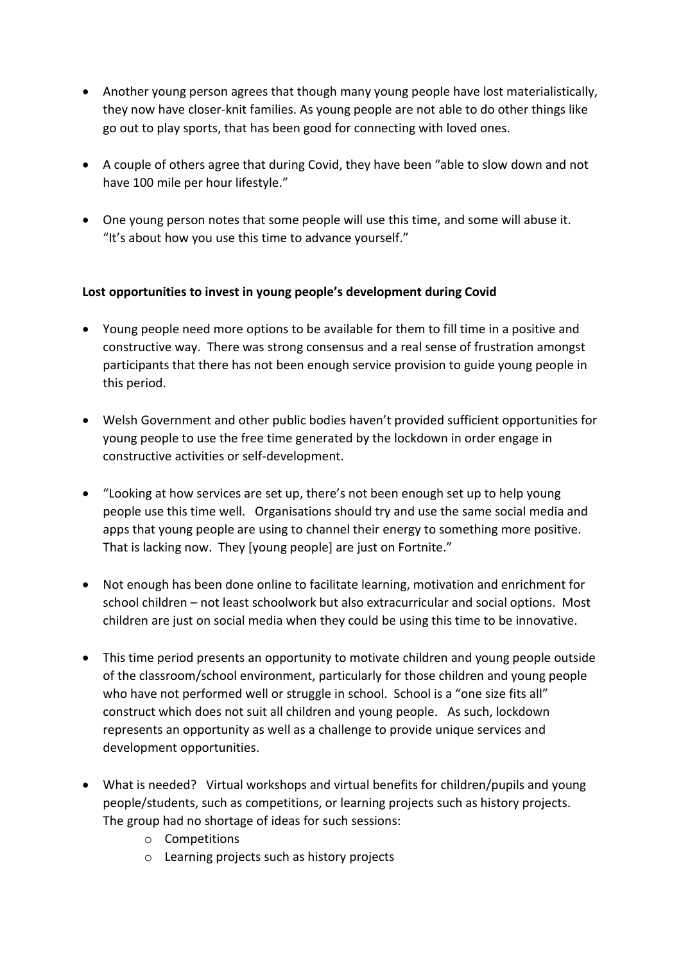- Another young person agrees that though many young people have lost materialistically, they now have closer-knit families. As young people are not able to do other things like go out to play sports, that has been good for connecting with loved ones.
- A couple of others agree that during Covid, they have been "able to slow down and not have 100 mile per hour lifestyle."
- One young person notes that some people will use this time, and some will abuse it. "It's about how you use this time to advance yourself."

### **Lost opportunities to invest in young people's development during Covid**

- Young people need more options to be available for them to fill time in a positive and constructive way. There was strong consensus and a real sense of frustration amongst participants that there has not been enough service provision to guide young people in this period.
- Welsh Government and other public bodies haven't provided sufficient opportunities for young people to use the free time generated by the lockdown in order engage in constructive activities or self-development.
- "Looking at how services are set up, there's not been enough set up to help young people use this time well. Organisations should try and use the same social media and apps that young people are using to channel their energy to something more positive. That is lacking now. They [young people] are just on Fortnite."
- Not enough has been done online to facilitate learning, motivation and enrichment for school children – not least schoolwork but also extracurricular and social options. Most children are just on social media when they could be using this time to be innovative.
- This time period presents an opportunity to motivate children and young people outside of the classroom/school environment, particularly for those children and young people who have not performed well or struggle in school. School is a "one size fits all" construct which does not suit all children and young people. As such, lockdown represents an opportunity as well as a challenge to provide unique services and development opportunities.
- What is needed? Virtual workshops and virtual benefits for children/pupils and young people/students, such as competitions, or learning projects such as history projects. The group had no shortage of ideas for such sessions:
	- o Competitions
	- o Learning projects such as history projects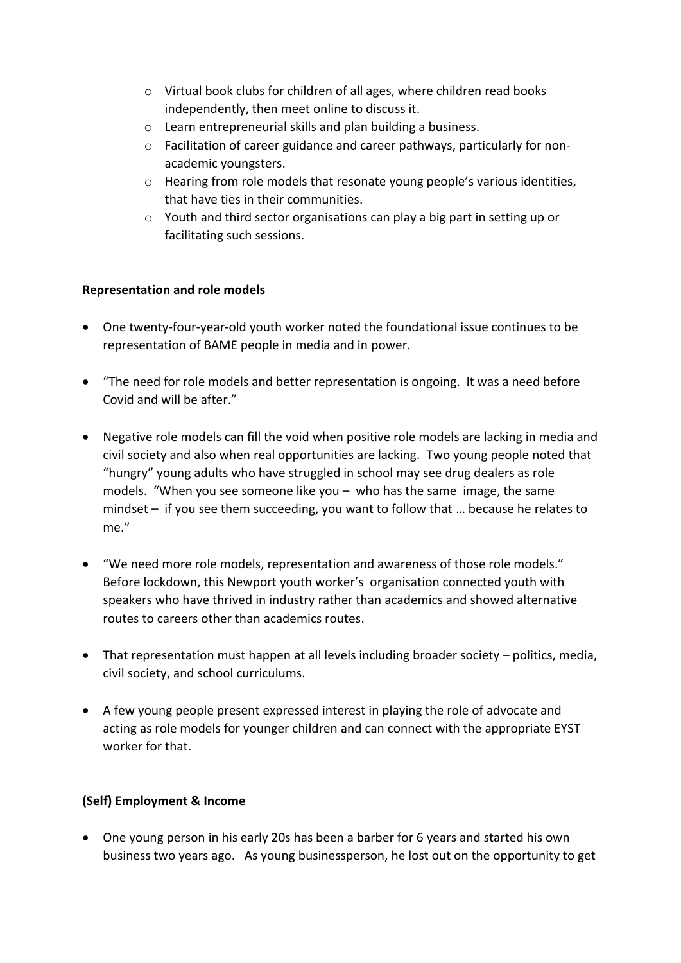- o Virtual book clubs for children of all ages, where children read books independently, then meet online to discuss it.
- o Learn entrepreneurial skills and plan building a business.
- o Facilitation of career guidance and career pathways, particularly for nonacademic youngsters.
- o Hearing from role models that resonate young people's various identities, that have ties in their communities.
- o Youth and third sector organisations can play a big part in setting up or facilitating such sessions.

### **Representation and role models**

- One twenty-four-year-old youth worker noted the foundational issue continues to be representation of BAME people in media and in power.
- "The need for role models and better representation is ongoing. It was a need before Covid and will be after."
- Negative role models can fill the void when positive role models are lacking in media and civil society and also when real opportunities are lacking. Two young people noted that "hungry" young adults who have struggled in school may see drug dealers as role models. "When you see someone like you – who has the same image, the same mindset – if you see them succeeding, you want to follow that … because he relates to me."
- "We need more role models, representation and awareness of those role models." Before lockdown, this Newport youth worker's organisation connected youth with speakers who have thrived in industry rather than academics and showed alternative routes to careers other than academics routes.
- That representation must happen at all levels including broader society politics, media, civil society, and school curriculums.
- A few young people present expressed interest in playing the role of advocate and acting as role models for younger children and can connect with the appropriate EYST worker for that.

## **(Self) Employment & Income**

• One young person in his early 20s has been a barber for 6 years and started his own business two years ago. As young businessperson, he lost out on the opportunity to get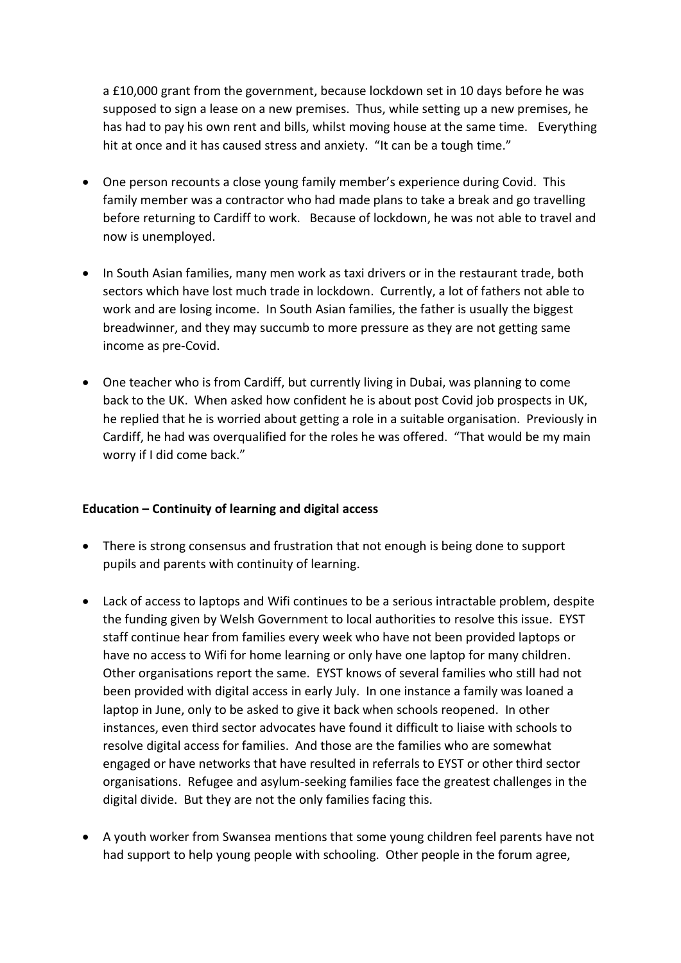a £10,000 grant from the government, because lockdown set in 10 days before he was supposed to sign a lease on a new premises. Thus, while setting up a new premises, he has had to pay his own rent and bills, whilst moving house at the same time. Everything hit at once and it has caused stress and anxiety. "It can be a tough time."

- One person recounts a close young family member's experience during Covid. This family member was a contractor who had made plans to take a break and go travelling before returning to Cardiff to work. Because of lockdown, he was not able to travel and now is unemployed.
- In South Asian families, many men work as taxi drivers or in the restaurant trade, both sectors which have lost much trade in lockdown. Currently, a lot of fathers not able to work and are losing income. In South Asian families, the father is usually the biggest breadwinner, and they may succumb to more pressure as they are not getting same income as pre-Covid.
- One teacher who is from Cardiff, but currently living in Dubai, was planning to come back to the UK. When asked how confident he is about post Covid job prospects in UK, he replied that he is worried about getting a role in a suitable organisation. Previously in Cardiff, he had was overqualified for the roles he was offered. "That would be my main worry if I did come back."

### **Education – Continuity of learning and digital access**

- There is strong consensus and frustration that not enough is being done to support pupils and parents with continuity of learning.
- Lack of access to laptops and Wifi continues to be a serious intractable problem, despite the funding given by Welsh Government to local authorities to resolve this issue. EYST staff continue hear from families every week who have not been provided laptops or have no access to Wifi for home learning or only have one laptop for many children. Other organisations report the same. EYST knows of several families who still had not been provided with digital access in early July. In one instance a family was loaned a laptop in June, only to be asked to give it back when schools reopened. In other instances, even third sector advocates have found it difficult to liaise with schools to resolve digital access for families. And those are the families who are somewhat engaged or have networks that have resulted in referrals to EYST or other third sector organisations. Refugee and asylum-seeking families face the greatest challenges in the digital divide. But they are not the only families facing this.
- A youth worker from Swansea mentions that some young children feel parents have not had support to help young people with schooling. Other people in the forum agree,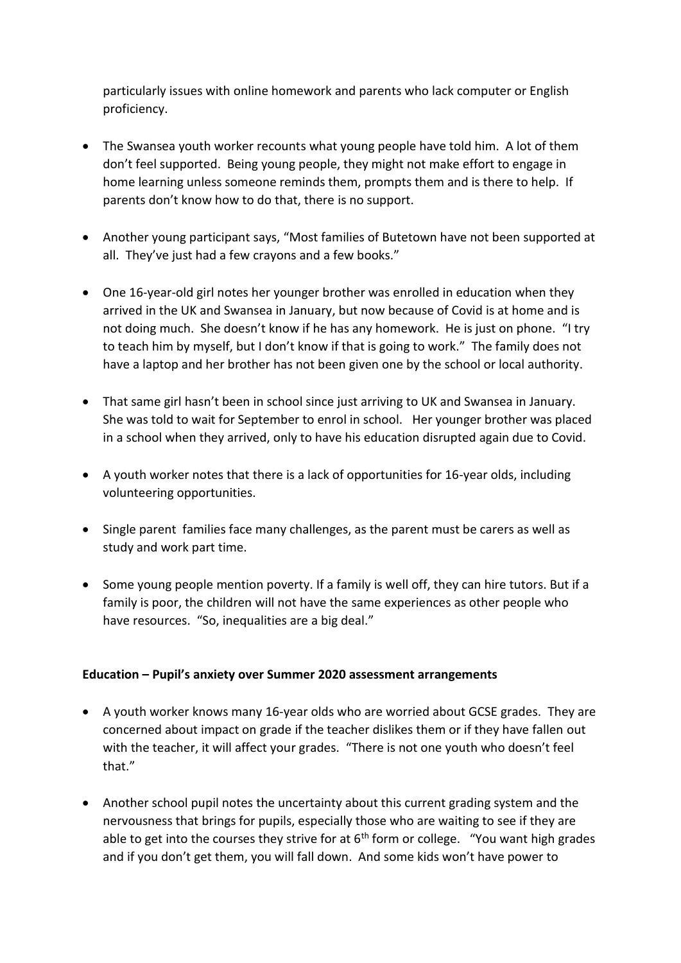particularly issues with online homework and parents who lack computer or English proficiency.

- The Swansea youth worker recounts what young people have told him. A lot of them don't feel supported. Being young people, they might not make effort to engage in home learning unless someone reminds them, prompts them and is there to help. If parents don't know how to do that, there is no support.
- Another young participant says, "Most families of Butetown have not been supported at all. They've just had a few crayons and a few books."
- One 16-year-old girl notes her younger brother was enrolled in education when they arrived in the UK and Swansea in January, but now because of Covid is at home and is not doing much. She doesn't know if he has any homework. He is just on phone. "I try to teach him by myself, but I don't know if that is going to work." The family does not have a laptop and her brother has not been given one by the school or local authority.
- That same girl hasn't been in school since just arriving to UK and Swansea in January. She was told to wait for September to enrol in school. Her younger brother was placed in a school when they arrived, only to have his education disrupted again due to Covid.
- A youth worker notes that there is a lack of opportunities for 16-year olds, including volunteering opportunities.
- Single parent families face many challenges, as the parent must be carers as well as study and work part time.
- Some young people mention poverty. If a family is well off, they can hire tutors. But if a family is poor, the children will not have the same experiences as other people who have resources. "So, inequalities are a big deal."

### **Education – Pupil's anxiety over Summer 2020 assessment arrangements**

- A youth worker knows many 16-year olds who are worried about GCSE grades. They are concerned about impact on grade if the teacher dislikes them or if they have fallen out with the teacher, it will affect your grades. "There is not one youth who doesn't feel that."
- Another school pupil notes the uncertainty about this current grading system and the nervousness that brings for pupils, especially those who are waiting to see if they are able to get into the courses they strive for at  $6<sup>th</sup>$  form or college. "You want high grades and if you don't get them, you will fall down. And some kids won't have power to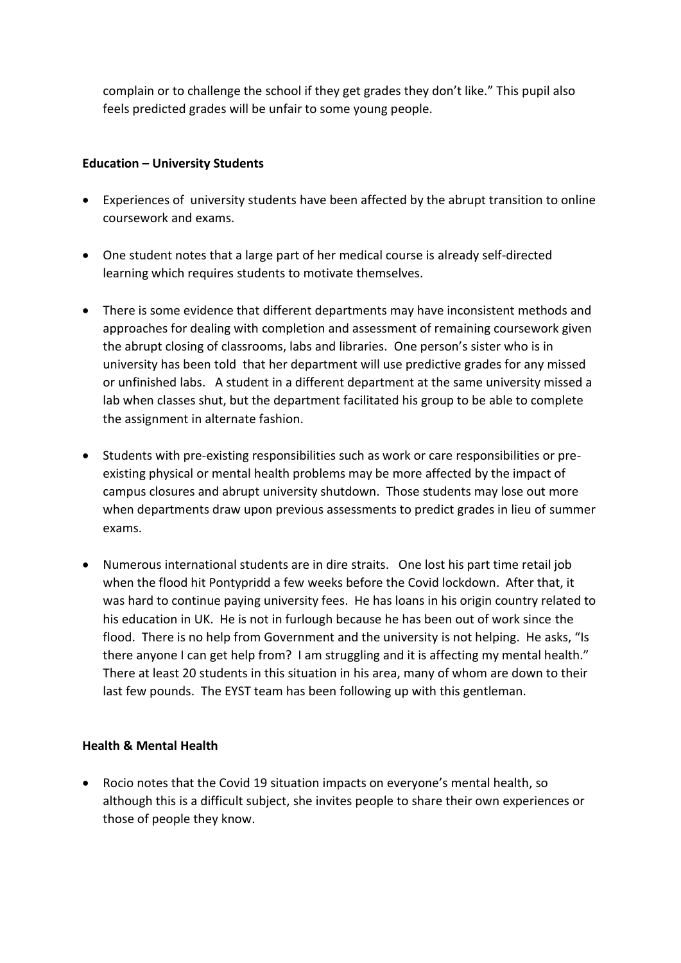complain or to challenge the school if they get grades they don't like." This pupil also feels predicted grades will be unfair to some young people.

#### **Education – University Students**

- Experiences of university students have been affected by the abrupt transition to online coursework and exams.
- One student notes that a large part of her medical course is already self-directed learning which requires students to motivate themselves.
- There is some evidence that different departments may have inconsistent methods and approaches for dealing with completion and assessment of remaining coursework given the abrupt closing of classrooms, labs and libraries. One person's sister who is in university has been told that her department will use predictive grades for any missed or unfinished labs. A student in a different department at the same university missed a lab when classes shut, but the department facilitated his group to be able to complete the assignment in alternate fashion.
- Students with pre-existing responsibilities such as work or care responsibilities or preexisting physical or mental health problems may be more affected by the impact of campus closures and abrupt university shutdown. Those students may lose out more when departments draw upon previous assessments to predict grades in lieu of summer exams.
- Numerous international students are in dire straits. One lost his part time retail job when the flood hit Pontypridd a few weeks before the Covid lockdown. After that, it was hard to continue paying university fees. He has loans in his origin country related to his education in UK. He is not in furlough because he has been out of work since the flood. There is no help from Government and the university is not helping. He asks, "Is there anyone I can get help from? I am struggling and it is affecting my mental health." There at least 20 students in this situation in his area, many of whom are down to their last few pounds. The EYST team has been following up with this gentleman.

### **Health & Mental Health**

• Rocio notes that the Covid 19 situation impacts on everyone's mental health, so although this is a difficult subject, she invites people to share their own experiences or those of people they know.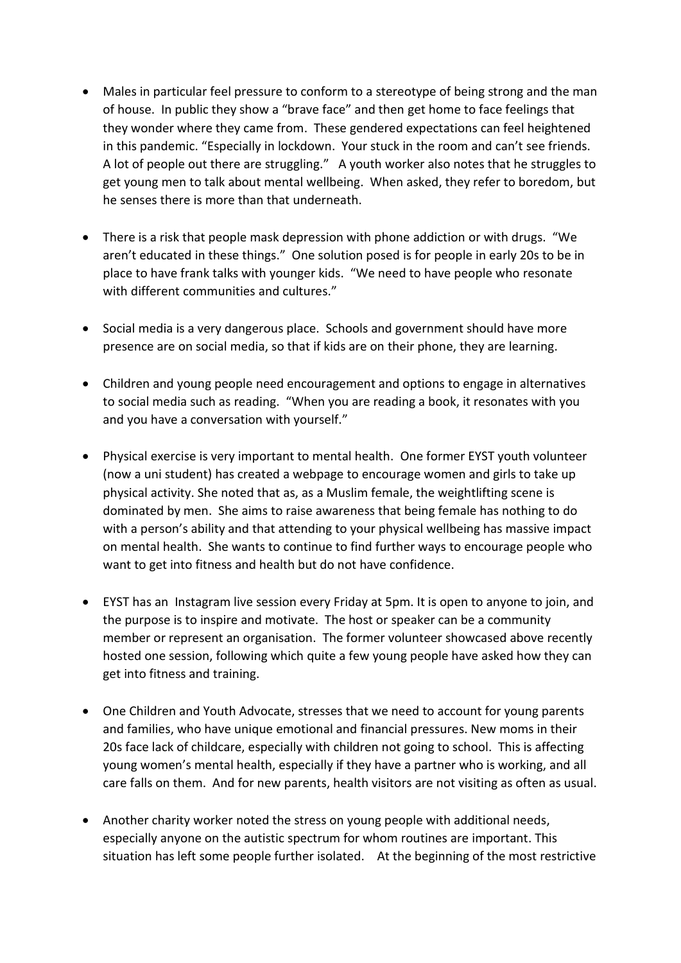- Males in particular feel pressure to conform to a stereotype of being strong and the man of house. In public they show a "brave face" and then get home to face feelings that they wonder where they came from. These gendered expectations can feel heightened in this pandemic. "Especially in lockdown. Your stuck in the room and can't see friends. A lot of people out there are struggling." A youth worker also notes that he struggles to get young men to talk about mental wellbeing. When asked, they refer to boredom, but he senses there is more than that underneath.
- There is a risk that people mask depression with phone addiction or with drugs. "We aren't educated in these things." One solution posed is for people in early 20s to be in place to have frank talks with younger kids. "We need to have people who resonate with different communities and cultures."
- Social media is a very dangerous place. Schools and government should have more presence are on social media, so that if kids are on their phone, they are learning.
- Children and young people need encouragement and options to engage in alternatives to social media such as reading. "When you are reading a book, it resonates with you and you have a conversation with yourself."
- Physical exercise is very important to mental health. One former EYST youth volunteer (now a uni student) has created a webpage to encourage women and girls to take up physical activity. She noted that as, as a Muslim female, the weightlifting scene is dominated by men. She aims to raise awareness that being female has nothing to do with a person's ability and that attending to your physical wellbeing has massive impact on mental health. She wants to continue to find further ways to encourage people who want to get into fitness and health but do not have confidence.
- EYST has an Instagram live session every Friday at 5pm. It is open to anyone to join, and the purpose is to inspire and motivate. The host or speaker can be a community member or represent an organisation. The former volunteer showcased above recently hosted one session, following which quite a few young people have asked how they can get into fitness and training.
- One Children and Youth Advocate, stresses that we need to account for young parents and families, who have unique emotional and financial pressures. New moms in their 20s face lack of childcare, especially with children not going to school. This is affecting young women's mental health, especially if they have a partner who is working, and all care falls on them. And for new parents, health visitors are not visiting as often as usual.
- Another charity worker noted the stress on young people with additional needs, especially anyone on the autistic spectrum for whom routines are important. This situation has left some people further isolated. At the beginning of the most restrictive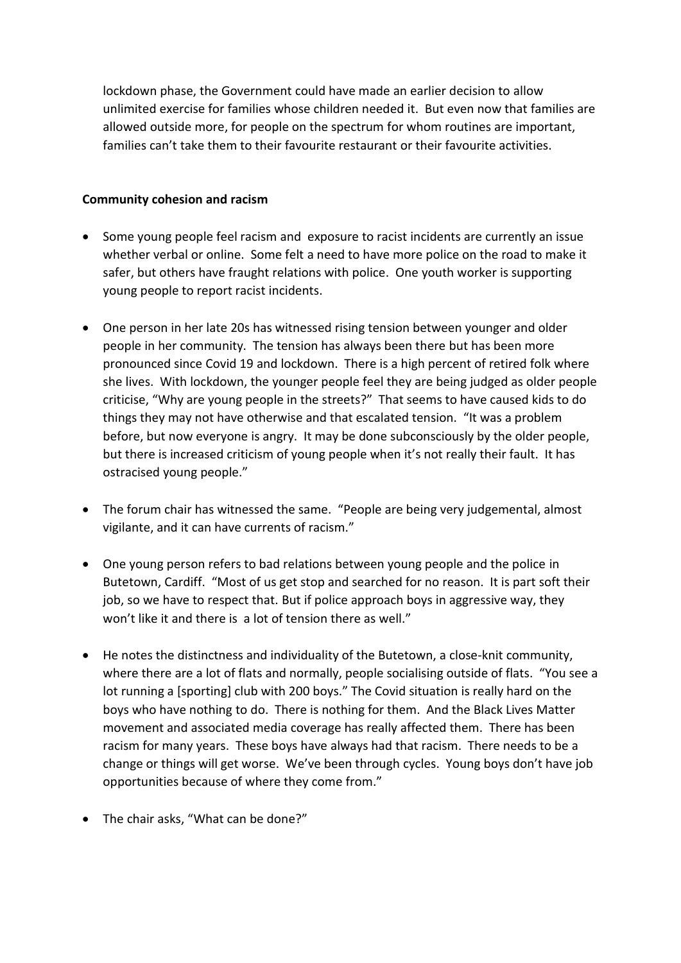lockdown phase, the Government could have made an earlier decision to allow unlimited exercise for families whose children needed it. But even now that families are allowed outside more, for people on the spectrum for whom routines are important, families can't take them to their favourite restaurant or their favourite activities.

#### **Community cohesion and racism**

- Some young people feel racism and exposure to racist incidents are currently an issue whether verbal or online. Some felt a need to have more police on the road to make it safer, but others have fraught relations with police. One youth worker is supporting young people to report racist incidents.
- One person in her late 20s has witnessed rising tension between younger and older people in her community. The tension has always been there but has been more pronounced since Covid 19 and lockdown. There is a high percent of retired folk where she lives. With lockdown, the younger people feel they are being judged as older people criticise, "Why are young people in the streets?" That seems to have caused kids to do things they may not have otherwise and that escalated tension. "It was a problem before, but now everyone is angry. It may be done subconsciously by the older people, but there is increased criticism of young people when it's not really their fault. It has ostracised young people."
- The forum chair has witnessed the same. "People are being very judgemental, almost vigilante, and it can have currents of racism."
- One young person refers to bad relations between young people and the police in Butetown, Cardiff. "Most of us get stop and searched for no reason. It is part soft their job, so we have to respect that. But if police approach boys in aggressive way, they won't like it and there is a lot of tension there as well."
- He notes the distinctness and individuality of the Butetown, a close-knit community, where there are a lot of flats and normally, people socialising outside of flats. "You see a lot running a [sporting] club with 200 boys." The Covid situation is really hard on the boys who have nothing to do. There is nothing for them. And the Black Lives Matter movement and associated media coverage has really affected them. There has been racism for many years. These boys have always had that racism. There needs to be a change or things will get worse. We've been through cycles. Young boys don't have job opportunities because of where they come from."
- The chair asks, "What can be done?"